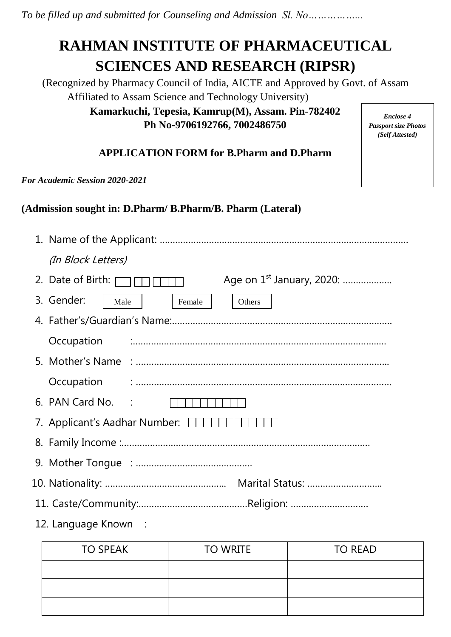*To be filled up and submitted for Counseling and Admission Sl. No……………...*

# **RAHMAN INSTITUTE OF PHARMACEUTICAL SCIENCES AND RESEARCH (RIPSR)**

(Recognized by Pharmacy Council of India, AICTE and Approved by Govt. of Assam Affiliated to Assam Science and Technology University) **Kamarkuchi, Tepesia, Kamrup(M), Assam. Pin-782402**

**Ph No-9706192766, 7002486750**

*Enclose 4 Passport size Photos (Self Attested)*

# **APPLICATION FORM for B.Pharm and D.Pharm**

*For Academic Session 2020-2021*

**(Admission sought in: D.Pharm/ B.Pharm/B. Pharm (Lateral)**

| (In Block Letters)                                                        |
|---------------------------------------------------------------------------|
| Age on 1 <sup>st</sup> January, 2020:<br>2. Date of Birth: $\overline{ }$ |
| 3. Gender:<br>Female<br>Male<br>Others                                    |
|                                                                           |
| Occupation                                                                |
|                                                                           |
|                                                                           |
| 6. PAN Card No. :                                                         |
| 7. Applicant's Aadhar Number: 1111                                        |
|                                                                           |
|                                                                           |
|                                                                           |
|                                                                           |
| 12. Language Known :                                                      |

| <b>TO SPEAK</b> | <b>TO WRITE</b> | <b>TO READ</b> |
|-----------------|-----------------|----------------|
|                 |                 |                |
|                 |                 |                |
|                 |                 |                |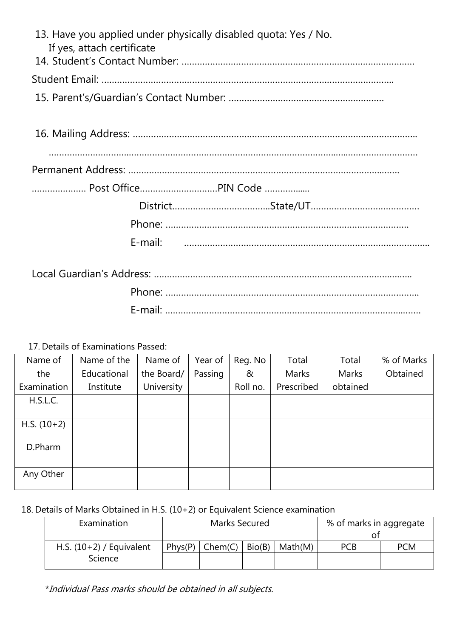| If yes, attach certificate | 13. Have you applied under physically disabled quota: Yes / No. |
|----------------------------|-----------------------------------------------------------------|
|                            |                                                                 |
|                            |                                                                 |
|                            |                                                                 |
|                            |                                                                 |
|                            |                                                                 |
|                            |                                                                 |
|                            | Post OfficePIN Code                                             |
|                            |                                                                 |
|                            |                                                                 |
|                            |                                                                 |
|                            |                                                                 |
|                            |                                                                 |
|                            |                                                                 |

17. Details of Examinations Passed:

| Name of       | Name of the | Name of    | Year of | Reg. No  | Total      | Total    | % of Marks |
|---------------|-------------|------------|---------|----------|------------|----------|------------|
| the           | Educational | the Board/ | Passing | &        | Marks      | Marks    | Obtained   |
| Examination   | Institute   | University |         | Roll no. | Prescribed | obtained |            |
| H.S.L.C.      |             |            |         |          |            |          |            |
|               |             |            |         |          |            |          |            |
| $H.S. (10+2)$ |             |            |         |          |            |          |            |
|               |             |            |         |          |            |          |            |
| D.Pharm       |             |            |         |          |            |          |            |
|               |             |            |         |          |            |          |            |
| Any Other     |             |            |         |          |            |          |            |
|               |             |            |         |          |            |          |            |

# 18. Details of Marks Obtained in H.S. (10+2) or Equivalent Science examination

| Examination                           | Marks Secured |           |        | % of marks in aggregate |            |            |
|---------------------------------------|---------------|-----------|--------|-------------------------|------------|------------|
| H.S. $(10+2)$ / Equivalent<br>Science | Phys(P)       | $Chem(C)$ | Bio(B) | Math(M)                 | <b>PCB</b> | <b>PCM</b> |

\*Individual Pass marks should be obtained in all subjects.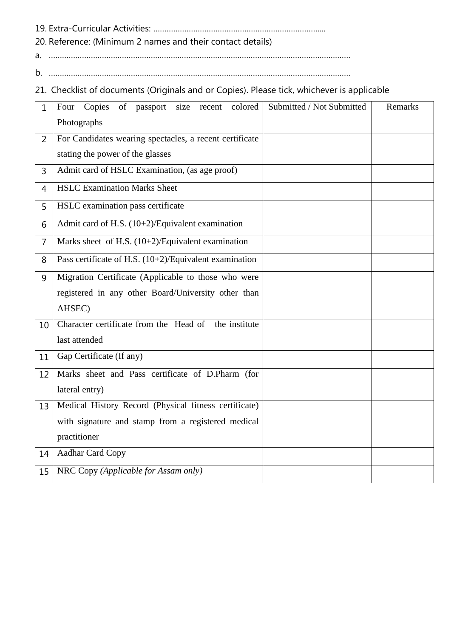19. Extra-Curricular Activities: …………………………………………………………………...

20. Reference: (Minimum 2 names and their contact details)

a. ……………………………………………………………………………………………………………………….

b. ……………………………………………………………………………………………………………………….

21. Checklist of documents (Originals and or Copies). Please tick, whichever is applicable

| 1              | Copies of passport size recent<br>colored<br>Four         | Submitted / Not Submitted | Remarks |
|----------------|-----------------------------------------------------------|---------------------------|---------|
|                | Photographs                                               |                           |         |
| $\overline{2}$ | For Candidates wearing spectacles, a recent certificate   |                           |         |
|                | stating the power of the glasses                          |                           |         |
| 3              | Admit card of HSLC Examination, (as age proof)            |                           |         |
| 4              | <b>HSLC Examination Marks Sheet</b>                       |                           |         |
| 5              | HSLC examination pass certificate                         |                           |         |
| 6              | Admit card of H.S. (10+2)/Equivalent examination          |                           |         |
| $\overline{7}$ | Marks sheet of H.S. $(10+2)/$ Equivalent examination      |                           |         |
| 8              | Pass certificate of H.S. $(10+2)/$ Equivalent examination |                           |         |
| 9              | Migration Certificate (Applicable to those who were       |                           |         |
|                | registered in any other Board/University other than       |                           |         |
|                | AHSEC)                                                    |                           |         |
| 10             | Character certificate from the Head of the institute      |                           |         |
|                | last attended                                             |                           |         |
| 11             | Gap Certificate (If any)                                  |                           |         |
| 12             | Marks sheet and Pass certificate of D.Pharm (for          |                           |         |
|                | lateral entry)                                            |                           |         |
| 13             | Medical History Record (Physical fitness certificate)     |                           |         |
|                | with signature and stamp from a registered medical        |                           |         |
|                | practitioner                                              |                           |         |
| 14             | <b>Aadhar Card Copy</b>                                   |                           |         |
| 15             | NRC Copy (Applicable for Assam only)                      |                           |         |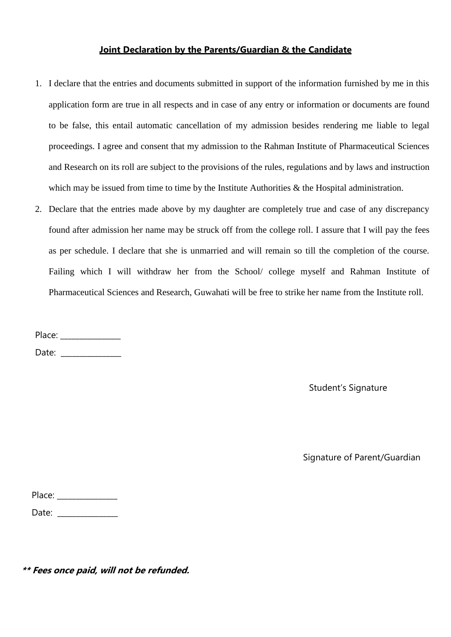#### **Joint Declaration by the Parents/Guardian & the Candidate**

- 1. I declare that the entries and documents submitted in support of the information furnished by me in this application form are true in all respects and in case of any entry or information or documents are found to be false, this entail automatic cancellation of my admission besides rendering me liable to legal proceedings. I agree and consent that my admission to the Rahman Institute of Pharmaceutical Sciences and Research on its roll are subject to the provisions of the rules, regulations and by laws and instruction which may be issued from time to time by the Institute Authorities & the Hospital administration.
- 2. Declare that the entries made above by my daughter are completely true and case of any discrepancy found after admission her name may be struck off from the college roll. I assure that I will pay the fees as per schedule. I declare that she is unmarried and will remain so till the completion of the course. Failing which I will withdraw her from the School/ college myself and Rahman Institute of Pharmaceutical Sciences and Research, Guwahati will be free to strike her name from the Institute roll.

Place: \_\_\_\_\_\_\_\_\_\_\_\_\_\_\_\_

Date:  $\Box$ 

Student's Signature

Signature of Parent/Guardian

| Place: |  |
|--------|--|
| Date:  |  |

**\*\* Fees once paid, will not be refunded.**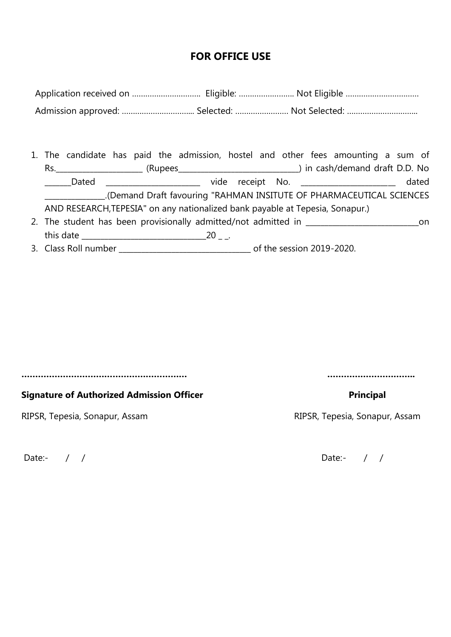# **FOR OFFICE USE**

- 1. The candidate has paid the admission, hostel and other fees amounting a sum of Rs.\_\_\_\_\_\_\_\_\_\_\_\_\_\_\_\_\_\_\_\_\_\_\_ (Rupees\_\_\_\_\_\_\_\_\_\_\_\_\_\_\_\_\_\_\_\_\_\_\_\_\_\_\_\_\_\_\_\_) in cash/demand draft D.D. No \_\_\_\_\_\_\_Dated \_\_\_\_\_\_\_\_\_\_\_\_\_\_\_\_\_\_\_\_\_\_\_\_\_\_\_\_\_ vide receipt No. \_\_\_\_\_\_\_\_\_\_\_\_\_\_\_\_\_\_\_\_\_\_\_\_\_ dated \_\_\_\_\_\_\_\_\_\_\_\_\_\_\_\_.(Demand Draft favouring "RAHMAN INSITUTE OF PHARMACEUTICAL SCIENCES AND RESEARCH,TEPESIA" on any nationalized bank payable at Tepesia, Sonapur.)
- 2. The student has been provisionally admitted/not admitted in \_\_\_\_\_\_\_\_\_\_\_\_\_\_\_\_\_\_\_\_\_\_\_\_\_\_\_\_\_\_on this date \_\_\_\_\_\_\_\_\_\_\_\_\_\_\_\_\_\_\_\_\_\_\_\_\_\_\_\_\_\_\_\_\_20 \_ \_.
- 3. Class Roll number \_\_\_\_\_\_\_\_\_\_\_\_\_\_\_\_\_\_\_\_\_\_\_\_\_\_\_\_\_\_\_\_\_\_\_ of the session 2019-2020.

**…………………………………………………… …………………………..**

#### **Signature of Authorized Admission Officer Community Community Principal**

RIPSR, Tepesia, Sonapur, Assam **RIPSR, Tepesia, Sonapur, Assam** 

Date:- / / / Date:- / / / Date:- / / / Date:- / / / Date:- / / / Date:- / / / Date:- / / / Date:- / / / 0100  $\sqrt{2}$